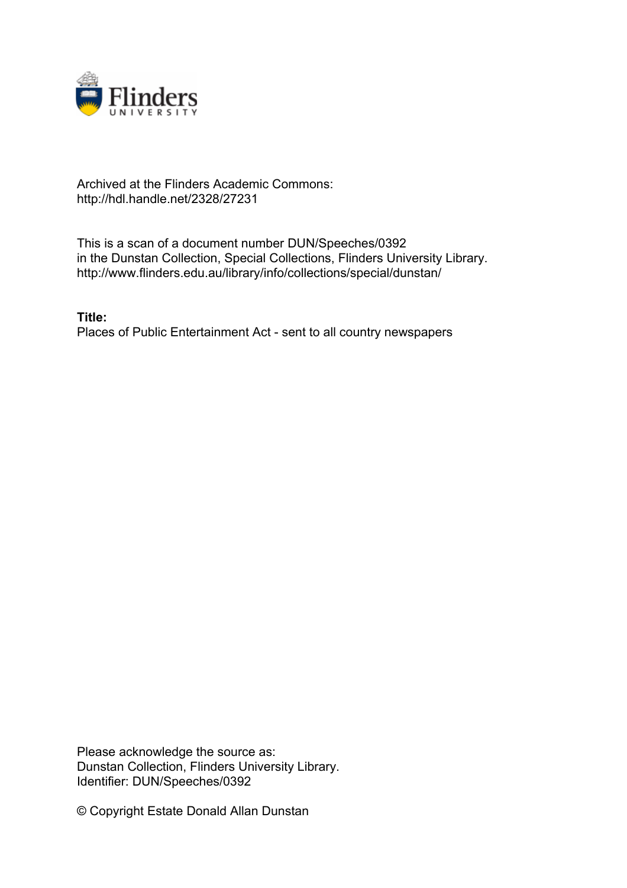

## Archived at the Flinders Academic Commons: http://hdl.handle.net/2328/27231

This is a scan of a document number DUN/Speeches/0392 in the Dunstan Collection, Special Collections, Flinders University Library. http://www.flinders.edu.au/library/info/collections/special/dunstan/

**Title:** Places of Public Entertainment Act - sent to all country newspapers

Please acknowledge the source as: Dunstan Collection, Flinders University Library. Identifier: DUN/Speeches/0392

© Copyright Estate Donald Allan Dunstan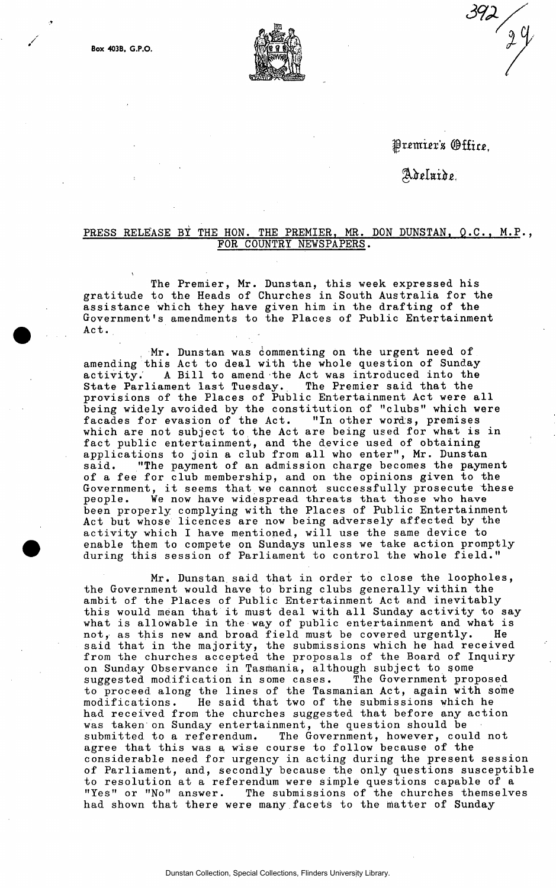

Premier's *Office.* 

 $392 / 29$ 

Adeluide.

## PRESS RELEASE BY THE HON. THE PREMIER, MR. DON DUNSTAN, Q.C., M.P., **FOR COUNTRY NEWSPAPERS.**

**The Premier, Mr. Dunstan, this week expressed his gratitude to the Heads of Churches in South Australia for the assistance which they have given him in the drafting of the Government's amendments to the Places of Public Entertainment Act. ,** 

**Mr. Dunstan was commenting on the urgent need of amending this Act to deal with the whole question of Sundayactivity.' A Bill to amend the Act was introduced into the State Parliament last Tuesday. The Premier said that the provisions of the Places of Public Entertainment Act were all being widely avoided by the constitution of "clubs" which were facades for evasion of the Act. "In other words, premises**  facades for evasion of the Act. "In other words, premises which are not subject to the Act are being used for what is in **fact public entertainment, and the device used of obtaining applications to join a club from all who enter", Mr. Dunstan said. "The payment of an admission charge becomes the payment of a fee for club membership, and on the opinions given to the Government, it seems that we cannot successfully prosecute these people. We now have widespread threats that those who have been properly complying with the Places of Public Entertainment Act but whose licences are now being adversely affected by the activity which I have mentioned, will use the same device to enable them to compete on Sundays unless we take action promptly during this session of Parliament to control the whole field."** 

**Mr. Dunstan said that in order to close the loopholes, the Government would have to bring clubs generally within the ambit of the Places of Pubiic Entertainment Act and inevitably this would mean that it must deal with all Sunday activity to say what is allowable in the way of public entertainment and what is not, as this new and broad field must be covered urgently. He said that in the majority, the submissions which he had received from the churches accepted the proposals of the Board of Inquiry on Sunday Observance in Tasmania, although subject to gome suggested modification in some cases. The Government proposed to proceed along the lines of the Tasmanian Act, again with some modifications. He said that two of the submissions which he had received from the churches suggested that before any action was taken on Sunday entertainment, the question should be submitted to a referendum. The Government, however, could not agree that this was a, wise course to follow because of the considerable need for urgency in acting during the present session**  of Parliament, and, secondly because the only questions susceptible **to resolution at a referendum were simple questions capable of a "Yes" or "No" answer. The submissions of the churches themselves had shown that there were many facets to the matter of Sunday**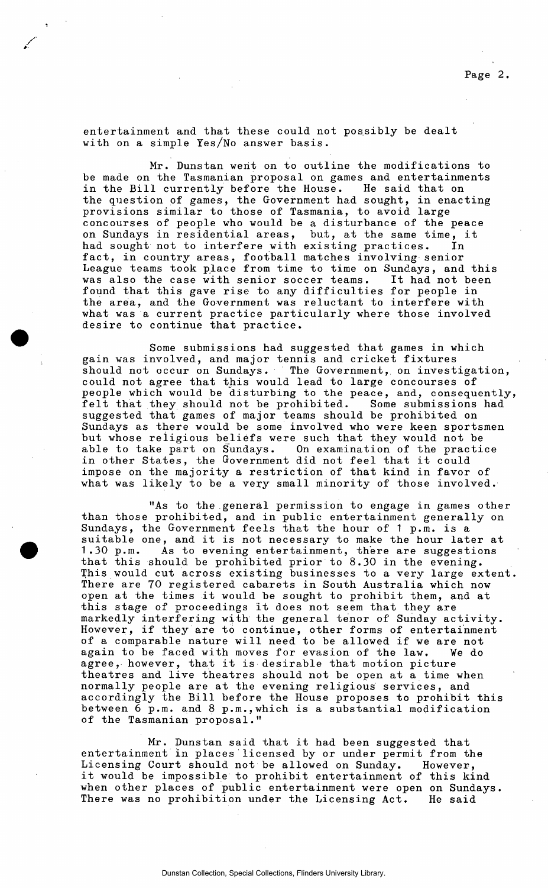**entertainment and that these could not possibly be dealt with on a simple Yes/No answer basis.** 

**Mr. Dunstan went on to outline the modifications to be made on the Tasmanian proposal on games and entertainments in the Bill currently before the House. He said that on the question of games, the Government had sought, in enacting provisions similar to those of Tasmania, to avoid large concourses of people who would be a disturbance of the peace on Sundays in residential areas, but, at the same time, it had sought not to interfere with existing practices. In fact, in country areas, football matches involving senior League teams took place from time to time on Sundays, and this was also the case with senior soccer teams. It had not been found that this gave rise to any difficulties for people in the area, and the Government was reluctant to interfere with what was a current practice particularly where those involved desire to continue that practice.** 

**Some submissions had suggested that games in which gain was involved, and major tennis and cricket fixtures should not occur on Sundays. The Government, on investigation, could not agree that this would lead to large concourses of**  people which would be disturbing to the peace, and, consequently, felt that they should not be prohibited. Some submissions had felt that they should not be prohibited. **suggested that games of major teams should be prohibited on Sundays as there would be some involved who were keen sportsmen but whose religious beliefs were such that they would not be able to take part on Sundays. On examination of the practice in other States, the Government did not feel that it could impose on the majority a restriction of that kind in favor of what was likely to be a very small minority of those involved.** 

**"As to the general permission to engage in games other than those prohibited, and in public entertainment generally on Sundays, the Government feels that the hour of 1 p.m. is a suitable one, and it is not necessary to make the hour later at 1.30 p.m. As to evening entertainment, there are suggestions that this should be prohibited prior to 8.30 in the evening. This would cut across existing businesses to a very large extent There are 70 registered cabarets in South Australia which now open at the times it would be sought to prohibit them, and at this stage of proceedings it does not seem that they are markedly interfering with the general tenor of Sunday activity. However, if they are to continue, other forms of entertainment of a comparable nature will need to be allowed if we are not again to be faced with moves for evasion of the law. We do agree, however, that it is desirable that motion picture theatres and live theatres should not be open at a time when normally people are at the evening religious services, and accordingly the Bill before the House proposes to prohibit this**  between  $\bar{6}$  p.m. and 8 p.m., which is a substantial modification **of the Tasmanian proposal."** 

**Mr. Dunstan said that it had been suggested that entertainment in places licensed by or under permit from the Licensing Court should not be allowed on Sunday. However, it would be impossible to prohibit entertainment of this kind when other places of public entertainment were open on Sundays. There was no prohibition under the Licensing Act. He said**